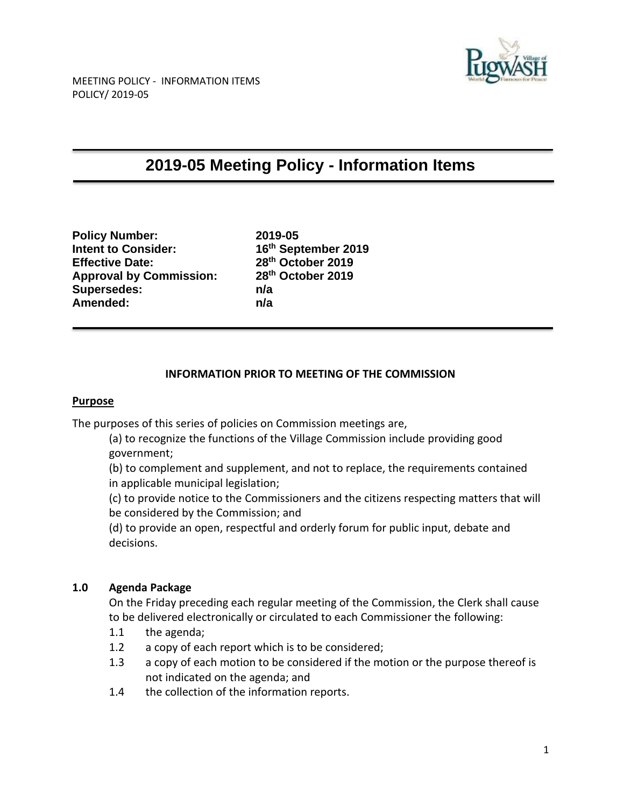

# **2019-05 Meeting Policy - Information Items**

**Policy Number: 2019-05 Intent to Consider: 16th September 2019 Effective Date: Approval by Commission: 28 Supersedes: n/a Amended: n/a**

**th October 2019 th October 2019**

## **INFORMATION PRIOR TO MEETING OF THE COMMISSION**

### **Purpose**

The purposes of this series of policies on Commission meetings are,

(a) to recognize the functions of the Village Commission include providing good government;

(b) to complement and supplement, and not to replace, the requirements contained in applicable municipal legislation;

(c) to provide notice to the Commissioners and the citizens respecting matters that will be considered by the Commission; and

(d) to provide an open, respectful and orderly forum for public input, debate and decisions.

### **1.0 Agenda Package**

On the Friday preceding each regular meeting of the Commission, the Clerk shall cause to be delivered electronically or circulated to each Commissioner the following:

- 1.1 the agenda;
- 1.2 a copy of each report which is to be considered;
- 1.3 a copy of each motion to be considered if the motion or the purpose thereof is not indicated on the agenda; and
- 1.4 the collection of the information reports.